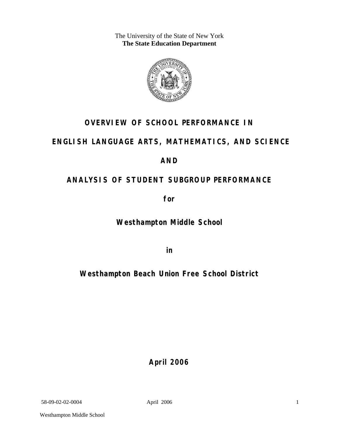The University of the State of New York **The State Education Department** 



## **OVERVIEW OF SCHOOL PERFORMANCE IN**

### **ENGLISH LANGUAGE ARTS, MATHEMATICS, AND SCIENCE**

### **AND**

# **ANALYSIS OF STUDENT SUBGROUP PERFORMANCE**

**for** 

**Westhampton Middle School**

**in** 

# **Westhampton Beach Union Free School District**

**April 2006**

58-09-02-02-0004 April 2006

1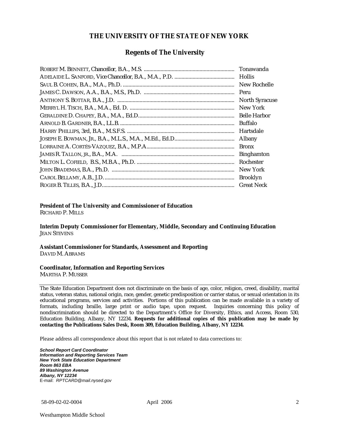#### **THE UNIVERSITY OF THE STATE OF NEW YORK**

#### **Regents of The University**

| Hollis                |
|-----------------------|
| New Rochelle          |
|                       |
| <b>North Syracuse</b> |
| New York              |
|                       |
| Buffalo               |
| Hartsdale             |
| Albany                |
| <b>Bronx</b>          |
| <b>Binghamton</b>     |
| Rochester             |
| New York              |
| <b>Brooklyn</b>       |
| <b>Great Neck</b>     |

#### **President of The University and Commissioner of Education**

RICHARD P. MILLS

**Interim Deputy Commissioner for Elementary, Middle, Secondary and Continuing Education**  JEAN STEVENS

#### **Assistant Commissioner for Standards, Assessment and Reporting**  DAVID M. ABRAMS

#### **Coordinator, Information and Reporting Services**

MARTHA P. MUSSER

The State Education Department does not discriminate on the basis of age, color, religion, creed, disability, marital status, veteran status, national origin, race, gender, genetic predisposition or carrier status, or sexual orientation in its educational programs, services and activities. Portions of this publication can be made available in a variety of formats, including braille, large print or audio tape, upon request. Inquiries concerning this policy of nondiscrimination should be directed to the Department's Office for Diversity, Ethics, and Access, Room 530, Education Building, Albany, NY 12234. **Requests for additional copies of this publication may be made by contacting the Publications Sales Desk, Room 309, Education Building, Albany, NY 12234.** 

Please address all correspondence about this report that is not related to data corrections to:

*School Report Card Coordinator Information and Reporting Services Team New York State Education Department Room 863 EBA 89 Washington Avenue Albany, NY 12234*  E-mail: *RPTCARD@mail.nysed.gov*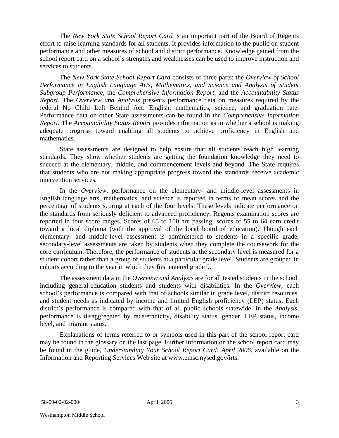The *New York State School Report Card* is an important part of the Board of Regents effort to raise learning standards for all students. It provides information to the public on student performance and other measures of school and district performance. Knowledge gained from the school report card on a school's strengths and weaknesses can be used to improve instruction and services to students.

The *New York State School Report Card* consists of three parts: the *Overview of School Performance in English Language Arts, Mathematics, and Science and Analysis of Student Subgroup Performance,* the *Comprehensive Information Report,* and the *Accountability Status Report*. The *Overview and Analysis* presents performance data on measures required by the federal No Child Left Behind Act: English, mathematics, science, and graduation rate. Performance data on other State assessments can be found in the *Comprehensive Information Report*. The *Accountability Status Report* provides information as to whether a school is making adequate progress toward enabling all students to achieve proficiency in English and mathematics.

State assessments are designed to help ensure that all students reach high learning standards. They show whether students are getting the foundation knowledge they need to succeed at the elementary, middle, and commencement levels and beyond. The State requires that students who are not making appropriate progress toward the standards receive academic intervention services.

In the *Overview*, performance on the elementary- and middle-level assessments in English language arts, mathematics, and science is reported in terms of mean scores and the percentage of students scoring at each of the four levels. These levels indicate performance on the standards from seriously deficient to advanced proficiency. Regents examination scores are reported in four score ranges. Scores of 65 to 100 are passing; scores of 55 to 64 earn credit toward a local diploma (with the approval of the local board of education). Though each elementary- and middle-level assessment is administered to students in a specific grade, secondary-level assessments are taken by students when they complete the coursework for the core curriculum. Therefore, the performance of students at the secondary level is measured for a student cohort rather than a group of students at a particular grade level. Students are grouped in cohorts according to the year in which they first entered grade 9.

The assessment data in the *Overview and Analysis* are for all tested students in the school, including general-education students and students with disabilities. In the *Overview*, each school's performance is compared with that of schools similar in grade level, district resources, and student needs as indicated by income and limited English proficiency (LEP) status. Each district's performance is compared with that of all public schools statewide. In the *Analysis*, performance is disaggregated by race/ethnicity, disability status, gender, LEP status, income level, and migrant status.

Explanations of terms referred to or symbols used in this part of the school report card may be found in the glossary on the last page. Further information on the school report card may be found in the guide, *Understanding Your School Report Card: April 2006*, available on the Information and Reporting Services Web site at www.emsc.nysed.gov/irts.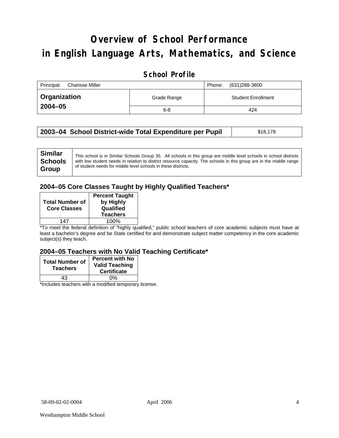# **Overview of School Performance in English Language Arts, Mathematics, and Science**

### **School Profile**

| Principal:<br>Charisse Miller |             | (631)288-3800<br>Phone:   |
|-------------------------------|-------------|---------------------------|
| <b>Organization</b>           | Grade Range | <b>Student Enrollment</b> |
| $2004 - 05$                   | $6 - 8$     | 424                       |

| 2003–04 School District-wide Total Expenditure per Pupil | \$18,178 |
|----------------------------------------------------------|----------|
|----------------------------------------------------------|----------|

### **2004–05 Core Classes Taught by Highly Qualified Teachers\***

| <b>Total Number of</b><br><b>Core Classes</b> | <b>Percent Taught</b><br>by Highly<br>Qualified<br><b>Teachers</b> |
|-----------------------------------------------|--------------------------------------------------------------------|
| 147                                           | 100%                                                               |

\*To meet the federal definition of "highly qualified," public school teachers of core academic subjects must have at least a bachelor's degree and be State certified for and demonstrate subject matter competency in the core academic subject(s) they teach.

#### **2004–05 Teachers with No Valid Teaching Certificate\***

| <b>Total Number of</b><br><b>Teachers</b> | <b>Percent with No</b><br><b>Valid Teaching</b><br><b>Certificate</b> |
|-------------------------------------------|-----------------------------------------------------------------------|
| 43                                        | 0%                                                                    |
|                                           | .                                                                     |

\*Includes teachers with a modified temporary license.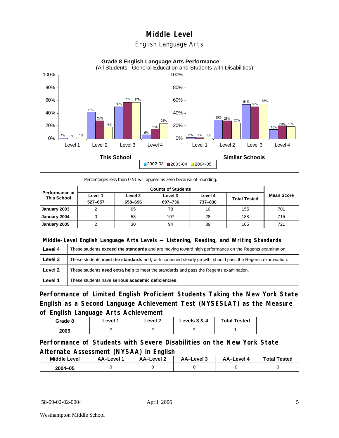### English Language Arts



Percentages less than 0.51 will appear as zero because of rounding.

|                                             | <b>Counts of Students</b> |                    |                    |                    |                     |                   |
|---------------------------------------------|---------------------------|--------------------|--------------------|--------------------|---------------------|-------------------|
| <b>Performance at</b><br><b>This School</b> | Level 1<br>527-657        | Level 2<br>658-696 | Level 3<br>697-736 | Level 4<br>737-830 | <b>Total Tested</b> | <b>Mean Score</b> |
| January 2003                                |                           | 65                 | 78                 | 10                 | 155                 | 701               |
| January 2004                                |                           | 53                 | 107                | 28                 | 188                 | 715               |
| January 2005                                |                           | 30                 | 94                 | 39                 | 165                 | 721               |

| Middle-Level English Language Arts Levels - Listening, Reading, and Writing Standards |                                                                                                           |  |
|---------------------------------------------------------------------------------------|-----------------------------------------------------------------------------------------------------------|--|
| Level 4                                                                               | These students exceed the standards and are moving toward high performance on the Regents examination.    |  |
| Level 3                                                                               | These students meet the standards and, with continued steady growth, should pass the Regents examination. |  |
| Level 2                                                                               | These students need extra help to meet the standards and pass the Regents examination.                    |  |
| Level 1                                                                               | These students have serious academic deficiencies.                                                        |  |

**Performance of Limited English Proficient Students Taking the New York State English as a Second Language Achievement Test (NYSESLAT) as the Measure of English Language Arts Achievement**

| Grade 8 | Level 1 | Level 2 | Levels 3 & 4 | <b>Total Tested</b> |
|---------|---------|---------|--------------|---------------------|
| 2005    |         |         |              |                     |

**Performance of Students with Severe Disabilities on the New York State Alternate Assessment (NYSAA) in English** 

| <b>Middle Level</b> | AA-Level | – AA–Level | AA-Level 3 | AA-Level | <b>Total Tested</b> |
|---------------------|----------|------------|------------|----------|---------------------|
| 2004-05             |          |            |            |          |                     |

58-09-02-02-0004 April 2006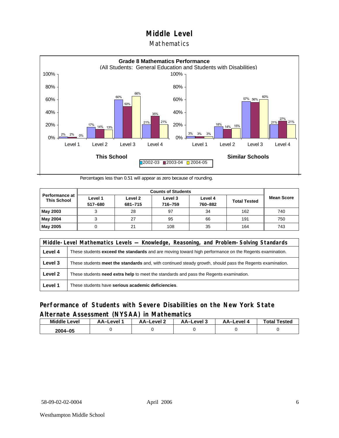#### **Mathematics**



Percentages less than 0.51 will appear as zero because of rounding.

|                                             |                    |                    | <b>Counts of Students</b> |                    |                     |                   |
|---------------------------------------------|--------------------|--------------------|---------------------------|--------------------|---------------------|-------------------|
| <b>Performance at</b><br><b>This School</b> | Level 1<br>517-680 | Level 2<br>681-715 | Level 3<br>716-759        | Level 4<br>760-882 | <b>Total Tested</b> | <b>Mean Score</b> |
| May 2003                                    |                    | 28                 | 97                        | 34                 | 162                 | 740               |
| May 2004                                    |                    | 27                 | 95                        | 66                 | 191                 | 750               |
| May 2005                                    |                    | 21                 | 108                       | 35                 | 164                 | 743               |

| Middle-Level Mathematics Levels — Knowledge, Reasoning, and Problem-Solving Standards |                                                                                                               |  |
|---------------------------------------------------------------------------------------|---------------------------------------------------------------------------------------------------------------|--|
| Level 4                                                                               | These students <b>exceed the standards</b> and are moving toward high performance on the Regents examination. |  |
| Level 3                                                                               | These students meet the standards and, with continued steady growth, should pass the Regents examination.     |  |
| Level 2                                                                               | These students need extra help to meet the standards and pass the Regents examination.                        |  |
| Level 1                                                                               | These students have serious academic deficiencies.                                                            |  |

### **Performance of Students with Severe Disabilities on the New York State Alternate Assessment (NYSAA) in Mathematics**

| <b>Middle Level</b> | AA–Level | AA-Level 2 | AA-Level 3 | AA-Level 4 | <b>Total Tested</b> |
|---------------------|----------|------------|------------|------------|---------------------|
| 2004-05             |          |            |            |            |                     |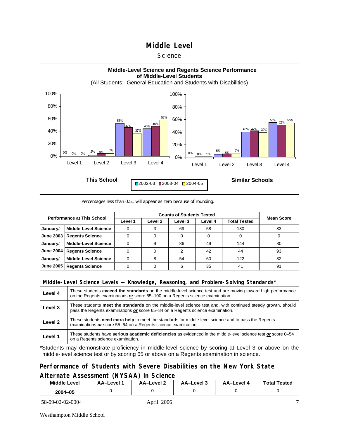#### **Science**



Percentages less than 0.51 will appear as zero because of rounding.

| <b>Performance at This School</b> |                             |         | <b>Mean Score</b>  |         |         |                     |    |
|-----------------------------------|-----------------------------|---------|--------------------|---------|---------|---------------------|----|
|                                   |                             | Level 1 | Level <sub>2</sub> | Level 3 | Level 4 | <b>Total Tested</b> |    |
| January/                          | <b>Middle-Level Science</b> |         |                    | 69      | 58      | 130                 | 83 |
| <b>June 2003</b>                  | <b>Regents Science</b>      |         |                    |         |         |                     |    |
| January/                          | <b>Middle-Level Science</b> |         | 9                  | 86      | 49      | 144                 | 80 |
| <b>June 2004</b>                  | <b>Regents Science</b>      |         |                    | っ       | 42      | 44                  | 93 |
| January/                          | <b>Middle-Level Science</b> |         |                    | 54      | 60      | 122                 | 82 |
| <b>June 2005</b>                  | <b>Regents Science</b>      |         |                    | 6       | 35      | 41                  | 91 |

| Middle-Level Science Levels — Knowledge, Reasoning, and Problem-Solving Standards* |                                                                                                                                                                                                |  |  |  |  |  |  |  |
|------------------------------------------------------------------------------------|------------------------------------------------------------------------------------------------------------------------------------------------------------------------------------------------|--|--|--|--|--|--|--|
| Level 4                                                                            | These students exceed the standards on the middle-level science test and are moving toward high performance<br>on the Regents examinations or score 85-100 on a Regents science examination.   |  |  |  |  |  |  |  |
| Level 3                                                                            | These students meet the standards on the middle-level science test and, with continued steady growth, should<br>pass the Regents examinations or score 65–84 on a Regents science examination. |  |  |  |  |  |  |  |
| Level 2                                                                            | These students need extra help to meet the standards for middle-level science and to pass the Regents<br>examinations or score 55–64 on a Regents science examination.                         |  |  |  |  |  |  |  |
| Level 1                                                                            | These students have serious academic deficiencies as evidenced in the middle-level science test or score 0–54<br>on a Regents science examination.                                             |  |  |  |  |  |  |  |

\*Students may demonstrate proficiency in middle-level science by scoring at Level 3 or above on the middle-level science test or by scoring 65 or above on a Regents examination in science.

### **Performance of Students with Severe Disabilities on the New York State Alternate Assessment (NYSAA) in Science**

| <b>Middle Level</b> | AA-Level 1 | AA-Level 2 | AA-Level 3 | AA–Level 4 | <b>Total Tested</b> |
|---------------------|------------|------------|------------|------------|---------------------|
| $2004 - 05$         |            |            |            |            |                     |

58-09-02-02-0004 April 2006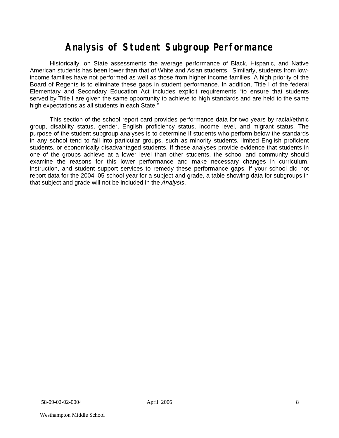# **Analysis of Student Subgroup Performance**

Historically, on State assessments the average performance of Black, Hispanic, and Native American students has been lower than that of White and Asian students. Similarly, students from lowincome families have not performed as well as those from higher income families. A high priority of the Board of Regents is to eliminate these gaps in student performance. In addition, Title I of the federal Elementary and Secondary Education Act includes explicit requirements "to ensure that students served by Title I are given the same opportunity to achieve to high standards and are held to the same high expectations as all students in each State."

This section of the school report card provides performance data for two years by racial/ethnic group, disability status, gender, English proficiency status, income level, and migrant status. The purpose of the student subgroup analyses is to determine if students who perform below the standards in any school tend to fall into particular groups, such as minority students, limited English proficient students, or economically disadvantaged students. If these analyses provide evidence that students in one of the groups achieve at a lower level than other students, the school and community should examine the reasons for this lower performance and make necessary changes in curriculum, instruction, and student support services to remedy these performance gaps. If your school did not report data for the 2004–05 school year for a subject and grade, a table showing data for subgroups in that subject and grade will not be included in the *Analysis*.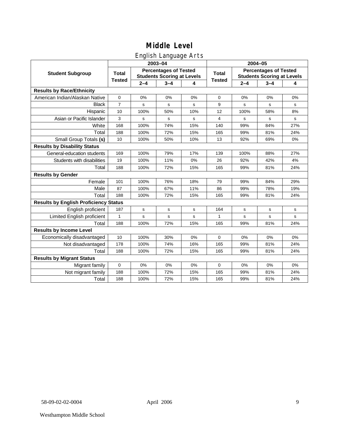### English Language Arts

|                                              |                |             | ັ<br>2003-04                                                      |     | 2004-05       |                                                                   |             |           |  |
|----------------------------------------------|----------------|-------------|-------------------------------------------------------------------|-----|---------------|-------------------------------------------------------------------|-------------|-----------|--|
| <b>Student Subgroup</b>                      | <b>Total</b>   |             | <b>Percentages of Tested</b><br><b>Students Scoring at Levels</b> |     | <b>Total</b>  | <b>Percentages of Tested</b><br><b>Students Scoring at Levels</b> |             |           |  |
|                                              | <b>Tested</b>  | $2 - 4$     | $3 - 4$                                                           | 4   | <b>Tested</b> | $2 - 4$                                                           | $3 - 4$     | 4         |  |
| <b>Results by Race/Ethnicity</b>             |                |             |                                                                   |     |               |                                                                   |             |           |  |
| American Indian/Alaskan Native               | $\pmb{0}$      | 0%          | 0%                                                                | 0%  | $\mathbf 0$   | 0%                                                                | 0%          | 0%        |  |
| <b>Black</b>                                 | $\overline{7}$ | s           | $\mathbf s$                                                       | s   | 9             | s                                                                 | s           | s         |  |
| Hispanic                                     | 10             | 100%        | 50%                                                               | 10% | 12            | 100%                                                              | 58%         | 8%        |  |
| Asian or Pacific Islander                    | 3              | s           | $\mathbf S$                                                       | s   | 4             | s                                                                 | s           | s         |  |
| White                                        | 168            | 100%        | 74%                                                               | 15% | 140           | 99%                                                               | 84%         | 27%       |  |
| Total                                        | 188            | 100%        | 72%                                                               | 15% | 165           | 99%                                                               | 81%         | 24%       |  |
| Small Group Totals (s)                       | 10             | 100%        | 50%                                                               | 10% | 13            | 92%                                                               | 69%         | 0%        |  |
| <b>Results by Disability Status</b>          |                |             |                                                                   |     |               |                                                                   |             |           |  |
| General-education students                   | 169            | 100%        | 79%                                                               | 17% | 139           | 100%                                                              | 88%         | 27%       |  |
| Students with disabilities                   | 19             | 100%        | 11%                                                               | 0%  | 26            | 92%                                                               | 42%         | 4%        |  |
| Total                                        | 188            | 100%        | 72%                                                               | 15% | 165           | 99%                                                               | 81%         | 24%       |  |
| <b>Results by Gender</b>                     |                |             |                                                                   |     |               |                                                                   |             |           |  |
| Female                                       | 101            | 100%        | 76%                                                               | 18% | 79            | 99%                                                               | 84%         | 29%       |  |
| Male                                         | 87             | 100%        | 67%                                                               | 11% | 86            | 99%                                                               | 78%         | 19%       |  |
| Total                                        | 188            | 100%        | 72%                                                               | 15% | 165           | 99%                                                               | 81%         | 24%       |  |
| <b>Results by English Proficiency Status</b> |                |             |                                                                   |     |               |                                                                   |             |           |  |
| English proficient                           | 187            | $\mathbf s$ | $\mathbf s$                                                       | s   | 164           | s                                                                 | $\mathbf s$ | s         |  |
| Limited English proficient                   | 1              | s           | $\mathbf s$                                                       | s   | 1             | s                                                                 | $\mathbf s$ | ${\tt s}$ |  |
| Total                                        | 188            | 100%        | 72%                                                               | 15% | 165           | 99%                                                               | 81%         | 24%       |  |
| <b>Results by Income Level</b>               |                |             |                                                                   |     |               |                                                                   |             |           |  |
| Economically disadvantaged                   | 10             | 100%        | 30%                                                               | 0%  | $\Omega$      | 0%                                                                | 0%          | 0%        |  |
| Not disadvantaged                            | 178            | 100%        | 74%                                                               | 16% | 165           | 99%                                                               | 81%         | 24%       |  |
| Total                                        | 188            | 100%        | 72%                                                               | 15% | 165           | 99%                                                               | 81%         | 24%       |  |
| <b>Results by Migrant Status</b>             |                |             |                                                                   |     |               |                                                                   |             |           |  |
| Migrant family                               | $\mathbf 0$    | 0%          | 0%                                                                | 0%  | $\mathbf 0$   | 0%                                                                | 0%          | 0%        |  |
| Not migrant family                           | 188            | 100%        | 72%                                                               | 15% | 165           | 99%                                                               | 81%         | 24%       |  |
| Total                                        | 188            | 100%        | 72%                                                               | 15% | 165           | 99%                                                               | 81%         | 24%       |  |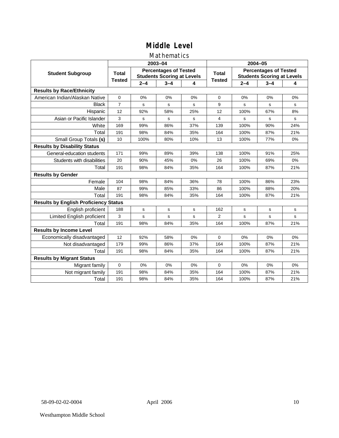### Mathematics

|                                              |                |         | 2003-04                                                           |     | 2004-05        |                                                                   |         |     |  |
|----------------------------------------------|----------------|---------|-------------------------------------------------------------------|-----|----------------|-------------------------------------------------------------------|---------|-----|--|
| <b>Student Subgroup</b>                      | <b>Total</b>   |         | <b>Percentages of Tested</b><br><b>Students Scoring at Levels</b> |     | <b>Total</b>   | <b>Percentages of Tested</b><br><b>Students Scoring at Levels</b> |         |     |  |
|                                              | <b>Tested</b>  | $2 - 4$ | $3 - 4$                                                           | 4   | <b>Tested</b>  | $2 - 4$                                                           | $3 - 4$ | 4   |  |
| <b>Results by Race/Ethnicity</b>             |                |         |                                                                   |     |                |                                                                   |         |     |  |
| American Indian/Alaskan Native               | 0              | 0%      | 0%                                                                | 0%  | $\Omega$       | 0%                                                                | 0%      | 0%  |  |
| <b>Black</b>                                 | $\overline{7}$ | s       | s                                                                 | s   | 9              | s                                                                 | s       | s   |  |
| Hispanic                                     | 12             | 92%     | 58%                                                               | 25% | 12             | 100%                                                              | 67%     | 8%  |  |
| Asian or Pacific Islander                    | 3              | s       | s                                                                 | s   | 4              | s                                                                 | s       | s   |  |
| White                                        | 169            | 99%     | 86%                                                               | 37% | 139            | 100%                                                              | 90%     | 24% |  |
| Total                                        | 191            | 98%     | 84%                                                               | 35% | 164            | 100%                                                              | 87%     | 21% |  |
| Small Group Totals (s)                       | 10             | 100%    | 80%                                                               | 10% | 13             | 100%                                                              | 77%     | 0%  |  |
| <b>Results by Disability Status</b>          |                |         |                                                                   |     |                |                                                                   |         |     |  |
| General-education students                   | 171            | 99%     | 89%                                                               | 39% | 138            | 100%                                                              | 91%     | 25% |  |
| Students with disabilities                   | 20             | 90%     | 45%                                                               | 0%  | 26             | 100%                                                              | 69%     | 0%  |  |
| Total                                        | 191            | 98%     | 84%                                                               | 35% | 164            | 100%                                                              | 87%     | 21% |  |
| <b>Results by Gender</b>                     |                |         |                                                                   |     |                |                                                                   |         |     |  |
| Female                                       | 104            | 98%     | 84%                                                               | 36% | 78             | 100%                                                              | 86%     | 23% |  |
| Male                                         | 87             | 99%     | 85%                                                               | 33% | 86             | 100%                                                              | 88%     | 20% |  |
| Total                                        | 191            | 98%     | 84%                                                               | 35% | 164            | 100%                                                              | 87%     | 21% |  |
| <b>Results by English Proficiency Status</b> |                |         |                                                                   |     |                |                                                                   |         |     |  |
| English proficient                           | 188            | s       | s                                                                 | s   | 162            | s                                                                 | s       | s   |  |
| <b>Limited English proficient</b>            | 3              | s       | s                                                                 | s   | $\overline{2}$ | s                                                                 | s       | s   |  |
| Total                                        | 191            | 98%     | 84%                                                               | 35% | 164            | 100%                                                              | 87%     | 21% |  |
| <b>Results by Income Level</b>               |                |         |                                                                   |     |                |                                                                   |         |     |  |
| Economically disadvantaged                   | 12             | 92%     | 58%                                                               | 0%  | $\Omega$       | 0%                                                                | 0%      | 0%  |  |
| Not disadvantaged                            | 179            | 99%     | 86%                                                               | 37% | 164            | 100%                                                              | 87%     | 21% |  |
| Total                                        | 191            | 98%     | 84%                                                               | 35% | 164            | 100%                                                              | 87%     | 21% |  |
| <b>Results by Migrant Status</b>             |                |         |                                                                   |     |                |                                                                   |         |     |  |
| Migrant family                               | 0              | 0%      | 0%                                                                | 0%  | $\mathbf 0$    | 0%                                                                | 0%      | 0%  |  |
| Not migrant family                           | 191            | 98%     | 84%                                                               | 35% | 164            | 100%                                                              | 87%     | 21% |  |
| Total                                        | 191            | 98%     | 84%                                                               | 35% | 164            | 100%                                                              | 87%     | 21% |  |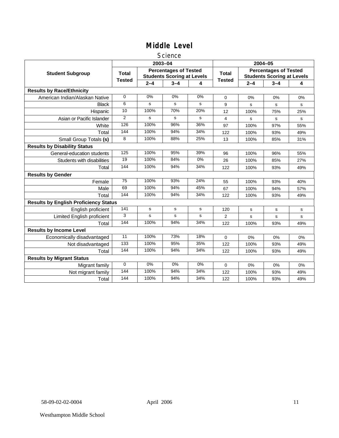#### **Science**

|                                              |                 |                                                                   | 2003-04 |       | 2004-05       |                                                                   |         |     |
|----------------------------------------------|-----------------|-------------------------------------------------------------------|---------|-------|---------------|-------------------------------------------------------------------|---------|-----|
| <b>Student Subgroup</b>                      | <b>Total</b>    | <b>Percentages of Tested</b><br><b>Students Scoring at Levels</b> |         |       | <b>Total</b>  | <b>Percentages of Tested</b><br><b>Students Scoring at Levels</b> |         |     |
|                                              | <b>Tested</b>   | $2 - 4$                                                           | $3 - 4$ | 4     | <b>Tested</b> | $2 - 4$                                                           | $3 - 4$ | 4   |
| <b>Results by Race/Ethnicity</b>             |                 |                                                                   |         |       |               |                                                                   |         |     |
| American Indian/Alaskan Native               | $\mathbf 0$     | 0%                                                                | 0%      | 0%    | $\Omega$      | 0%                                                                | 0%      | 0%  |
| <b>Black</b>                                 | 6               | s                                                                 | s       | s     | 9             | s                                                                 | s       | s   |
| Hispanic                                     | 10              | 100%                                                              | 70%     | 20%   | 12            | 100%                                                              | 75%     | 25% |
| Asian or Pacific Islander                    | $\overline{2}$  | s                                                                 | s       | s     | 4             | s                                                                 | s       | s   |
| White                                        | 126             | 100%                                                              | 96%     | 36%   | 97            | 100%                                                              | 97%     | 55% |
| Total                                        | 144             | 100%                                                              | 94%     | 34%   | 122           | 100%                                                              | 93%     | 49% |
| Small Group Totals (s)                       | 8               | 100%                                                              | 88%     | 25%   | 13            | 100%                                                              | 85%     | 31% |
| <b>Results by Disability Status</b>          |                 |                                                                   |         |       |               |                                                                   |         |     |
| General-education students                   | 125             | 100%                                                              | 95%     | 39%   | 96            | 100%                                                              | 96%     | 55% |
| Students with disabilities                   | $\overline{19}$ | 100%                                                              | 84%     | $0\%$ | 26            | 100%                                                              | 85%     | 27% |
| Total                                        | 144             | 100%                                                              | 94%     | 34%   | 122           | 100%                                                              | 93%     | 49% |
| <b>Results by Gender</b>                     |                 |                                                                   |         |       |               |                                                                   |         |     |
| Female                                       | $\overline{75}$ | 100%                                                              | 93%     | 24%   | 55            | 100%                                                              | 93%     | 40% |
| Male                                         | 69              | 100%                                                              | 94%     | 45%   | 67            | 100%                                                              | 94%     | 57% |
| Total                                        | 144             | 100%                                                              | 94%     | 34%   | 122           | 100%                                                              | 93%     | 49% |
| <b>Results by English Proficiency Status</b> |                 |                                                                   |         |       |               |                                                                   |         |     |
| English proficient                           | 141             | s                                                                 | s       | s     | 120           | s                                                                 | s       | s   |
| <b>Limited English proficient</b>            | 3               | s                                                                 | s       | s     | 2             | s                                                                 | s       | s   |
| Total                                        | 144             | 100%                                                              | 94%     | 34%   | 122           | 100%                                                              | 93%     | 49% |
| <b>Results by Income Level</b>               |                 |                                                                   |         |       |               |                                                                   |         |     |
| Economically disadvantaged                   | 11              | 100%                                                              | 73%     | 18%   | $\mathbf 0$   | 0%                                                                | 0%      | 0%  |
| Not disadvantaged                            | 133             | 100%                                                              | 95%     | 35%   | 122           | 100%                                                              | 93%     | 49% |
| Total                                        | 144             | 100%                                                              | 94%     | 34%   | 122           | 100%                                                              | 93%     | 49% |
| <b>Results by Migrant Status</b>             |                 |                                                                   |         |       |               |                                                                   |         |     |
| Migrant family                               | $\mathbf 0$     | 0%                                                                | 0%      | 0%    | 0             | 0%                                                                | 0%      | 0%  |
| Not migrant family                           | 144             | 100%                                                              | 94%     | 34%   | 122           | 100%                                                              | 93%     | 49% |
| Total                                        | 144             | 100%                                                              | 94%     | 34%   | 122           | 100%                                                              | 93%     | 49% |